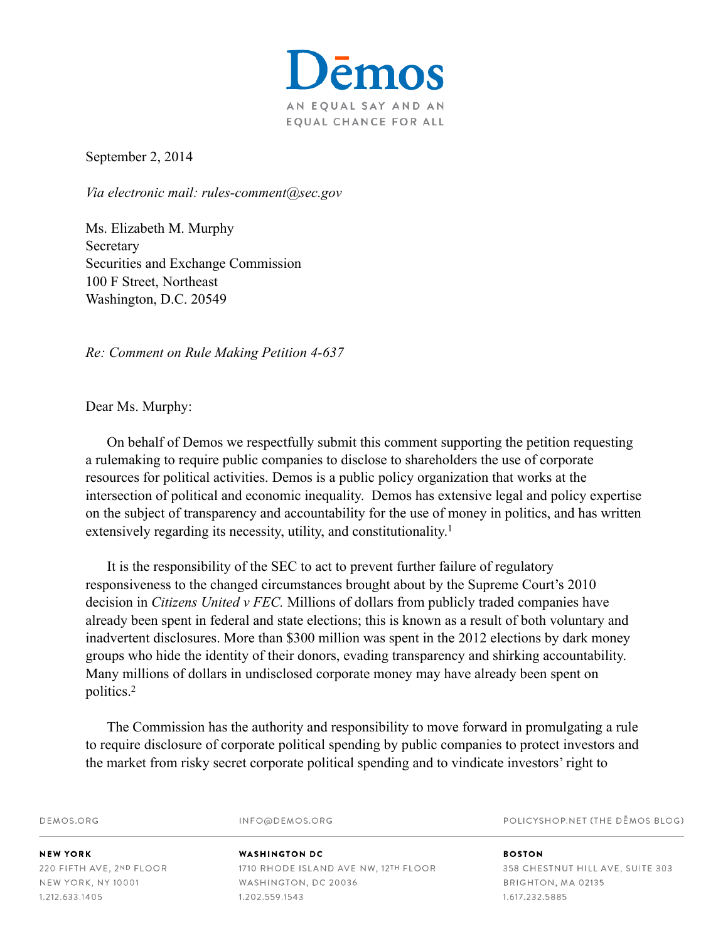

September 2, 2014

*Via electronic mail: rules-comment@sec.gov*

Ms. Elizabeth M. Murphy **Secretary** Securities and Exchange Commission 100 F Street, Northeast Washington, D.C. 20549

*Re: Comment on Rule Making Petition 4-637*

Dear Ms. Murphy:

On behalf of Demos we respectfully submit this comment supporting the petition requesting a rulemaking to require public companies to disclose to shareholders the use of corporate resources for political activities. Demos is a public policy organization that works at the intersection of political and economic inequality. Demos has extensive legal and policy expertise on the subject of transparency and accountability for the use of money in politics, and has written extensively regarding its necessity, utility, and constitutionality.<sup>1</sup>

It is the responsibility of the SEC to act to prevent further failure of regulatory responsiveness to the changed circumstances brought about by the Supreme Court's 2010 decision in *Citizens United v FEC.* Millions of dollars from publicly traded companies have already been spent in federal and state elections; this is known as a result of both voluntary and inadvertent disclosures. More than \$300 million was spent in the 2012 elections by dark money groups who hide the identity of their donors, evading transparency and shirking accountability. Many millions of dollars in undisclosed corporate money may have already been spent on politics. 2

The Commission has the authority and responsibility to move forward in promulgating a rule to require disclosure of corporate political spending by public companies to protect investors and the market from risky secret corporate political spending and to vindicate investors' right to

POLICYSHOP.NET (THE DEMOS BLOG) DEMOS.ORG INFO@DEMOS.ORG **NEW YORK WASHINGTON DC BOSTON** 220 FIFTH AVE, 2ND FLOOR 1710 RHODE ISLAND AVE NW, 12TH FLOOR 358 CHESTNUT HILL AVE, SUITE 303 NEW YORK, NY 10001 WASHINGTON, DC 20036 BRIGHTON, MA 02135 1.212.633.1405 1.202.559.1543 1.617.232.5885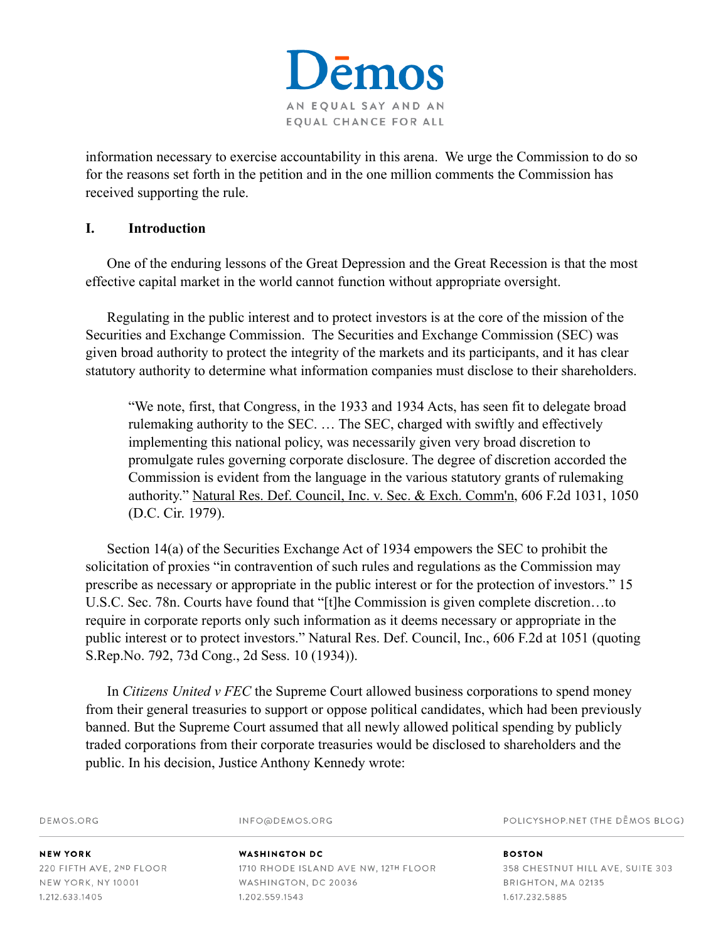

information necessary to exercise accountability in this arena. We urge the Commission to do so for the reasons set forth in the petition and in the one million comments the Commission has received supporting the rule.

#### **I. Introduction**

One of the enduring lessons of the Great Depression and the Great Recession is that the most effective capital market in the world cannot function without appropriate oversight.

Regulating in the public interest and to protect investors is at the core of the mission of the Securities and Exchange Commission. The Securities and Exchange Commission (SEC) was given broad authority to protect the integrity of the markets and its participants, and it has clear statutory authority to determine what information companies must disclose to their shareholders.

"We note, first, that Congress, in the 1933 and 1934 Acts, has seen fit to delegate broad rulemaking authority to the SEC. … The SEC, charged with swiftly and effectively implementing this national policy, was necessarily given very broad discretion to promulgate rules governing corporate disclosure. The degree of discretion accorded the Commission is evident from the language in the various statutory grants of rulemaking authority." Natural Res. Def. Council, Inc. v. Sec. & Exch. Comm'n, 606 F.2d 1031, 1050 (D.C. Cir. 1979).

Section 14(a) of the Securities Exchange Act of 1934 empowers the SEC to prohibit the solicitation of proxies "in contravention of such rules and regulations as the Commission may prescribe as necessary or appropriate in the public interest or for the protection of investors." 15 U.S.C. Sec. 78n. Courts have found that "[t]he Commission is given complete discretion…to require in corporate reports only such information as it deems necessary or appropriate in the public interest or to protect investors." Natural Res. Def. Council, Inc., 606 F.2d at 1051 (quoting S.Rep.No. 792, 73d Cong., 2d Sess. 10 (1934)).

In *Citizens United v FEC* the Supreme Court allowed business corporations to spend money from their general treasuries to support or oppose political candidates, which had been previously banned. But the Supreme Court assumed that all newly allowed political spending by publicly traded corporations from their corporate treasuries would be disclosed to shareholders and the public. In his decision, Justice Anthony Kennedy wrote:

DEMOS.ORG

INFO@DEMOS.ORG

POLICYSHOP.NET (THE DEMOS BLOG)

**NEW YORK** 220 FIFTH AVE, 2ND FLOOR NEW YORK, NY 10001 1.212.633.1405

#### **WASHINGTON DC** 1710 RHODE ISLAND AVE NW, 12TH FLOOR WASHINGTON, DC 20036 1.202.559.1543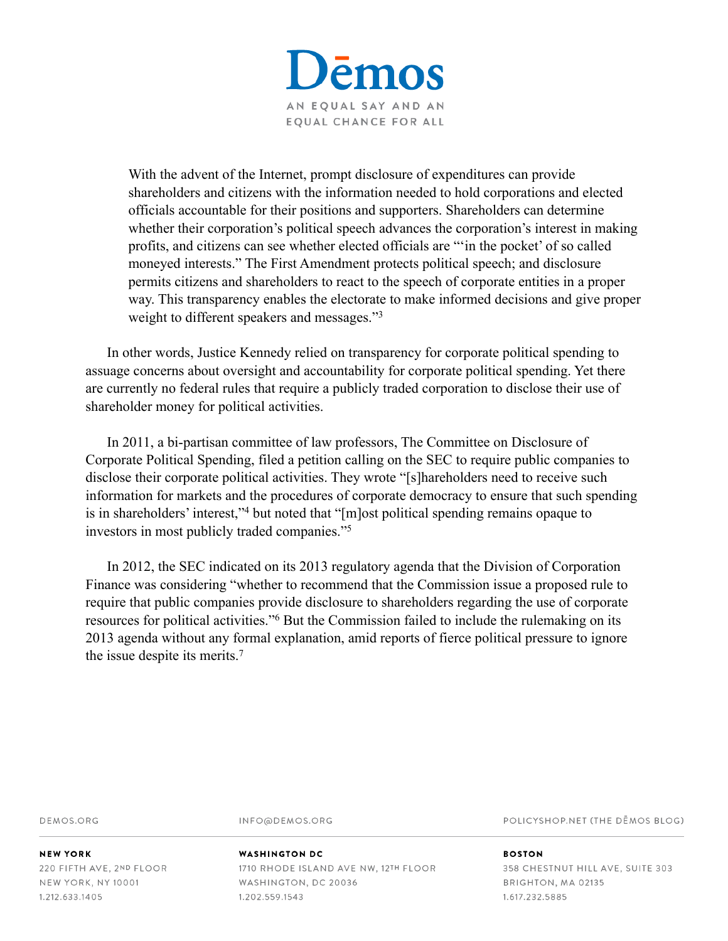

With the advent of the Internet, prompt disclosure of expenditures can provide shareholders and citizens with the information needed to hold corporations and elected officials accountable for their positions and supporters. Shareholders can determine whether their corporation's political speech advances the corporation's interest in making profits, and citizens can see whether elected officials are "'in the pocket' of so called moneyed interests." The First Amendment protects political speech; and disclosure permits citizens and shareholders to react to the speech of corporate entities in a proper way. This transparency enables the electorate to make informed decisions and give proper weight to different speakers and messages."3

In other words, Justice Kennedy relied on transparency for corporate political spending to assuage concerns about oversight and accountability for corporate political spending. Yet there are currently no federal rules that require a publicly traded corporation to disclose their use of shareholder money for political activities.

In 2011, a bi-partisan committee of law professors, The Committee on Disclosure of Corporate Political Spending, filed a petition calling on the SEC to require public companies to disclose their corporate political activities. They wrote "[s]hareholders need to receive such information for markets and the procedures of corporate democracy to ensure that such spending is in shareholders' interest,"<sup>4</sup> but noted that " $[m]$ ost political spending remains opaque to investors in most publicly traded companies."5

In 2012, the SEC indicated on its 2013 regulatory agenda that the Division of Corporation Finance was considering "whether to recommend that the Commission issue a proposed rule to require that public companies provide disclosure to shareholders regarding the use of corporate resources for political activities."<sup>6</sup> But the Commission failed to include the rulemaking on its 2013 agenda without any formal explanation, amid reports of fierce political pressure to ignore the issue despite its merits.7

DEMOS.ORG

INFO@DEMOS.ORG

POLICYSHOP.NET (THE DEMOS BLOG)

**NEW YORK** 220 FIFTH AVE, 2ND FLOOR NEW YORK, NY 10001 1.212.633.1405

#### **WASHINGTON DC**

1710 RHODE ISLAND AVE NW, 12TH FLOOR WASHINGTON, DC 20036 1.202.559.1543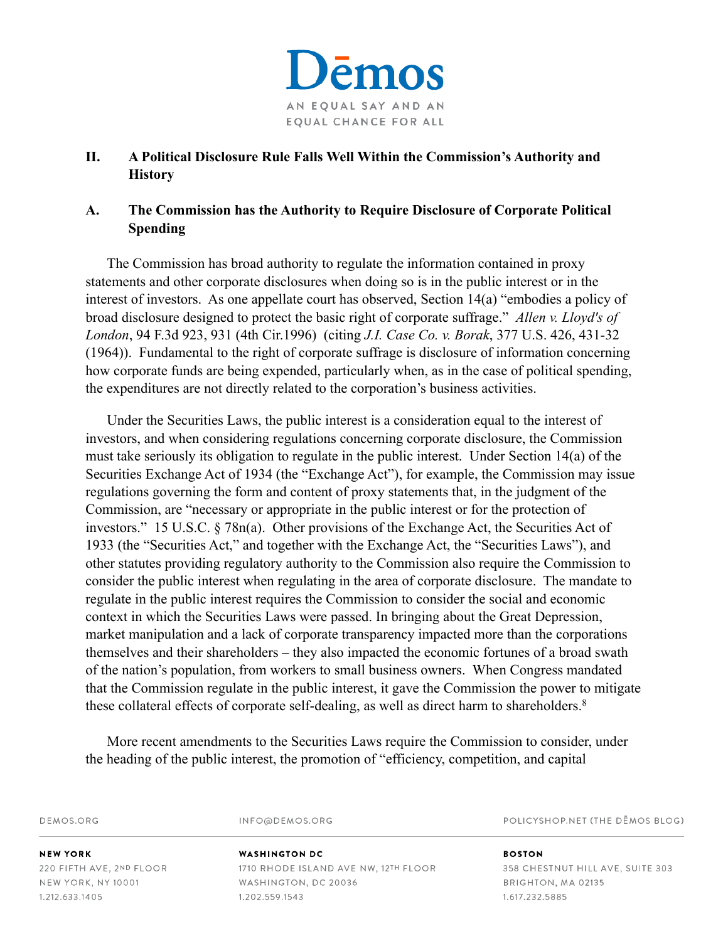

# **II. A Political Disclosure Rule Falls Well Within the Commission's Authority and History**

# **A. The Commission has the Authority to Require Disclosure of Corporate Political Spending**

The Commission has broad authority to regulate the information contained in proxy statements and other corporate disclosures when doing so is in the public interest or in the interest of investors. As one appellate court has observed, Section 14(a) "embodies a policy of broad disclosure designed to protect the basic right of corporate suffrage." *Allen v. Lloyd's of London*, 94 F.3d 923, 931 (4th Cir.1996) (citing *J.I. Case Co. v. Borak*, 377 U.S. 426, 431-32 (1964)). Fundamental to the right of corporate suffrage is disclosure of information concerning how corporate funds are being expended, particularly when, as in the case of political spending, the expenditures are not directly related to the corporation's business activities.

Under the Securities Laws, the public interest is a consideration equal to the interest of investors, and when considering regulations concerning corporate disclosure, the Commission must take seriously its obligation to regulate in the public interest. Under Section 14(a) of the Securities Exchange Act of 1934 (the "Exchange Act"), for example, the Commission may issue regulations governing the form and content of proxy statements that, in the judgment of the Commission, are "necessary or appropriate in the public interest or for the protection of investors." 15 U.S.C. § 78n(a). Other provisions of the Exchange Act, the Securities Act of 1933 (the "Securities Act," and together with the Exchange Act, the "Securities Laws"), and other statutes providing regulatory authority to the Commission also require the Commission to consider the public interest when regulating in the area of corporate disclosure. The mandate to regulate in the public interest requires the Commission to consider the social and economic context in which the Securities Laws were passed. In bringing about the Great Depression, market manipulation and a lack of corporate transparency impacted more than the corporations themselves and their shareholders – they also impacted the economic fortunes of a broad swath of the nation's population, from workers to small business owners. When Congress mandated that the Commission regulate in the public interest, it gave the Commission the power to mitigate these collateral effects of corporate self-dealing, as well as direct harm to shareholders.<sup>8</sup>

More recent amendments to the Securities Laws require the Commission to consider, under the heading of the public interest, the promotion of "efficiency, competition, and capital

| DEMOS.ORG                | INFO@DEMOS.ORG                       | POLICYSHOP.NET (THE DEMOS BLOG)  |  |
|--------------------------|--------------------------------------|----------------------------------|--|
| <b>NEW YORK</b>          | <b>WASHINGTON DC</b>                 | <b>BOSTON</b>                    |  |
| 220 FIFTH AVE, 2ND FLOOR | 1710 RHODE ISLAND AVE NW, 12TH FLOOR | 358 CHESTNUT HILL AVE, SUITE 303 |  |
| NEW YORK, NY 10001       | WASHINGTON, DC 20036                 | BRIGHTON, MA 02135               |  |
| 1.212.633.1405           | 1.202.559.1543                       | 1.617.232.5885                   |  |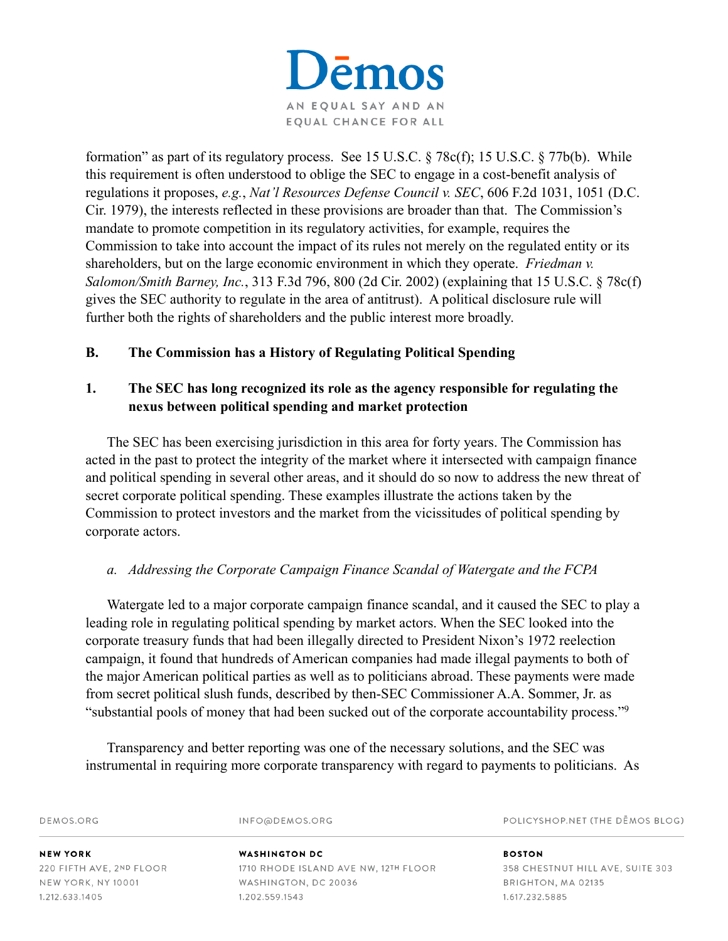

formation" as part of its regulatory process. See 15 U.S.C. § 78c(f); 15 U.S.C. § 77b(b). While this requirement is often understood to oblige the SEC to engage in a cost-benefit analysis of regulations it proposes, *e.g.*, *Nat'l Resources Defense Council v. SEC*, 606 F.2d 1031, 1051 (D.C. Cir. 1979), the interests reflected in these provisions are broader than that. The Commission's mandate to promote competition in its regulatory activities, for example, requires the Commission to take into account the impact of its rules not merely on the regulated entity or its shareholders, but on the large economic environment in which they operate. *Friedman v. Salomon/Smith Barney, Inc.*, 313 F.3d 796, 800 (2d Cir. 2002) (explaining that 15 U.S.C. § 78c(f) gives the SEC authority to regulate in the area of antitrust). A political disclosure rule will further both the rights of shareholders and the public interest more broadly.

# **B. The Commission has a History of Regulating Political Spending**

# **1. The SEC has long recognized its role as the agency responsible for regulating the nexus between political spending and market protection**

The SEC has been exercising jurisdiction in this area for forty years. The Commission has acted in the past to protect the integrity of the market where it intersected with campaign finance and political spending in several other areas, and it should do so now to address the new threat of secret corporate political spending. These examples illustrate the actions taken by the Commission to protect investors and the market from the vicissitudes of political spending by corporate actors.

# *a. Addressing the Corporate Campaign Finance Scandal of Watergate and the FCPA*

Watergate led to a major corporate campaign finance scandal, and it caused the SEC to play a leading role in regulating political spending by market actors. When the SEC looked into the corporate treasury funds that had been illegally directed to President Nixon's 1972 reelection campaign, it found that hundreds of American companies had made illegal payments to both of the major American political parties as well as to politicians abroad. These payments were made from secret political slush funds, described by then-SEC Commissioner A.A. Sommer, Jr. as "substantial pools of money that had been sucked out of the corporate accountability process."9

Transparency and better reporting was one of the necessary solutions, and the SEC was instrumental in requiring more corporate transparency with regard to payments to politicians. As

| DEMOS.ORG                | INFO@DEMOS.ORG                       | POLICYSHOP.NET (THE DEMOS BLOG)  |
|--------------------------|--------------------------------------|----------------------------------|
| <b>NEW YORK</b>          | WASHINGTON DC                        | <b>BOSTON</b>                    |
| 220 FIFTH AVE, 2ND FLOOR | 1710 RHODE ISLAND AVE NW, 12TH FLOOR | 358 CHESTNUT HILL AVE, SUITE 303 |
| NEW YORK, NY 10001       | WASHINGTON, DC 20036                 | BRIGHTON, MA 02135               |
| 1.212.633.1405           | 1.202.559.1543                       | 1.617.232.5885                   |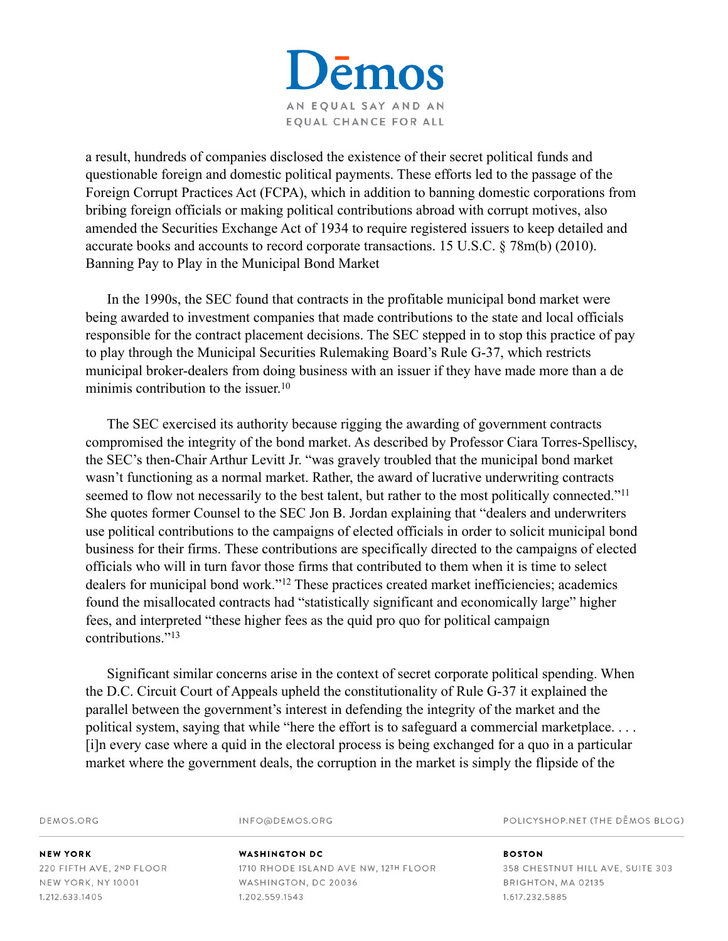

a result, hundreds of companies disclosed the existence of their secret political funds and questionable foreign and domestic political payments. These efforts led to the passage of the Foreign Corrupt Practices Act (FCPA), which in addition to banning domestic corporations from bribing foreign officials or making political contributions abroad with corrupt motives, also amended the Securities Exchange Act of 1934 to require registered issuers to keep detailed and accurate books and accounts to record corporate transactions. 15 U.S.C. § 78m(b) (2010). Banning Pay to Play in the Municipal Bond Market

In the 1990s, the SEC found that contracts in the profitable municipal bond market were being awarded to investment companies that made contributions to the state and local officials responsible for the contract placement decisions. The SEC stepped in to stop this practice of pay to play through the Municipal Securities Rulemaking Board's Rule G-37, which restricts municipal broker-dealers from doing business with an issuer if they have made more than a de minimis contribution to the issuer.<sup>10</sup>

The SEC exercised its authority because rigging the awarding of government contracts compromised the integrity of the bond market. As described by Professor Ciara Torres-Spelliscy, the SEC's then-Chair Arthur Levitt Jr. "was gravely troubled that the municipal bond market wasn't functioning as a normal market. Rather, the award of lucrative underwriting contracts seemed to flow not necessarily to the best talent, but rather to the most politically connected."<sup>11</sup> She quotes former Counsel to the SEC Jon B. Jordan explaining that "dealers and underwriters use political contributions to the campaigns of elected officials in order to solicit municipal bond business for their firms. These contributions are specifically directed to the campaigns of elected officials who will in turn favor those firms that contributed to them when it is time to select dealers for municipal bond work."<sup>12</sup> These practices created market inefficiencies; academics found the misallocated contracts had "statistically significant and economically large" higher fees, and interpreted "these higher fees as the quid pro quo for political campaign contributions<sup>"13</sup>

Significant similar concerns arise in the context of secret corporate political spending. When the D.C. Circuit Court of Appeals upheld the constitutionality of Rule G-37 it explained the parallel between the government's interest in defending the integrity of the market and the political system, saying that while "here the effort is to safeguard a commercial marketplace. . . . [i]n every case where a quid in the electoral process is being exchanged for a quo in a particular market where the government deals, the corruption in the market is simply the flipside of the

DEMOS.ORG

INFO@DEMOS.ORG

POLICYSHOP.NET (THE DEMOS BLOG)

**NEW YORK** 220 FIFTH AVE, 2ND FLOOR NEW YORK, NY 10001 1.212.633.1405

# **WASHINGTON DC**

1710 RHODE ISLAND AVE NW, 12TH FLOOR WASHINGTON, DC 20036 1.202.559.1543

358 CHESTNUT HILL AVE, SUITE 303 BRIGHTON, MA 02135 1.617.232.5885

**BOSTON**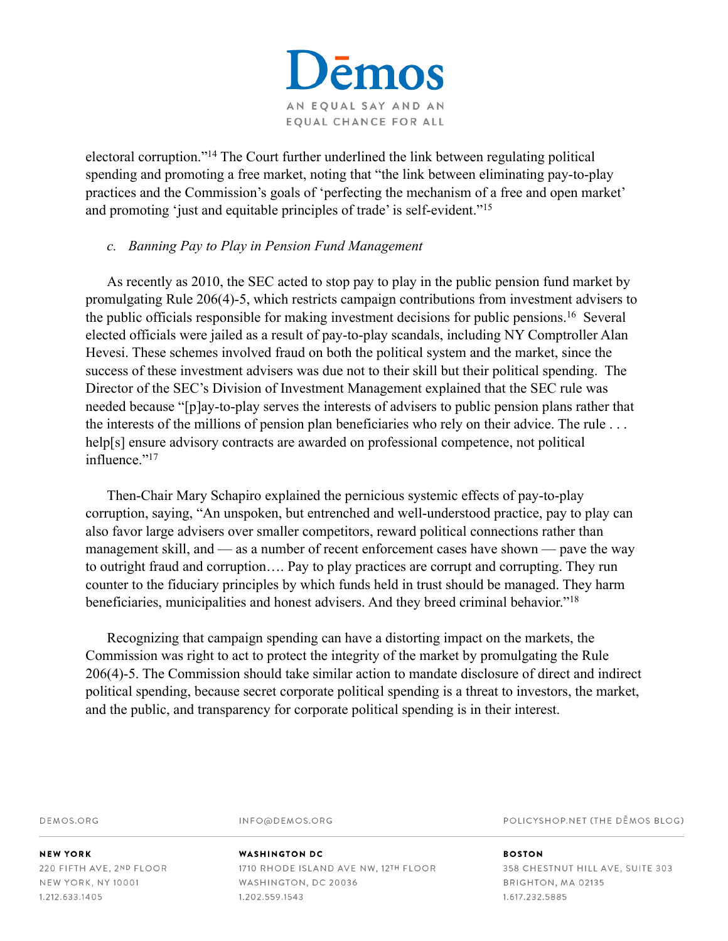

electoral corruption."<sup>14</sup> The Court further underlined the link between regulating political spending and promoting a free market, noting that "the link between eliminating pay-to-play practices and the Commission's goals of 'perfecting the mechanism of a free and open market' and promoting 'just and equitable principles of trade' is self-evident."<sup>15</sup>

#### *c. Banning Pay to Play in Pension Fund Management*

As recently as 2010, the SEC acted to stop pay to play in the public pension fund market by promulgating Rule 206(4)-5, which restricts campaign contributions from investment advisers to the public officials responsible for making investment decisions for public pensions.<sup>16</sup> Several elected officials were jailed as a result of pay-to-play scandals, including NY Comptroller Alan Hevesi. These schemes involved fraud on both the political system and the market, since the success of these investment advisers was due not to their skill but their political spending. The Director of the SEC's Division of Investment Management explained that the SEC rule was needed because "[p]ay-to-play serves the interests of advisers to public pension plans rather that the interests of the millions of pension plan beneficiaries who rely on their advice. The rule . . . help[s] ensure advisory contracts are awarded on professional competence, not political influence."<sup>17</sup>

Then-Chair Mary Schapiro explained the pernicious systemic effects of pay-to-play corruption, saying, "An unspoken, but entrenched and well-understood practice, pay to play can also favor large advisers over smaller competitors, reward political connections rather than management skill, and — as a number of recent enforcement cases have shown — pave the way to outright fraud and corruption…. Pay to play practices are corrupt and corrupting. They run counter to the fiduciary principles by which funds held in trust should be managed. They harm beneficiaries, municipalities and honest advisers. And they breed criminal behavior."18

Recognizing that campaign spending can have a distorting impact on the markets, the Commission was right to act to protect the integrity of the market by promulgating the Rule 206(4)-5. The Commission should take similar action to mandate disclosure of direct and indirect political spending, because secret corporate political spending is a threat to investors, the market, and the public, and transparency for corporate political spending is in their interest.

DEMOS.ORG

INFO@DEMOS.ORG

POLICYSHOP.NET (THE DEMOS BLOG)

**NEW YORK** 220 FIFTH AVE, 2ND FLOOR NEW YORK, NY 10001 1.212.633.1405

#### **WASHINGTON DC** 1710 RHODE ISLAND AVE NW, 12TH FLOOR WASHINGTON, DC 20036 1.202.559.1543

358 CHESTNUT HILL AVE, SUITE 303 BRIGHTON, MA 02135 1.617.232.5885

**BOSTON**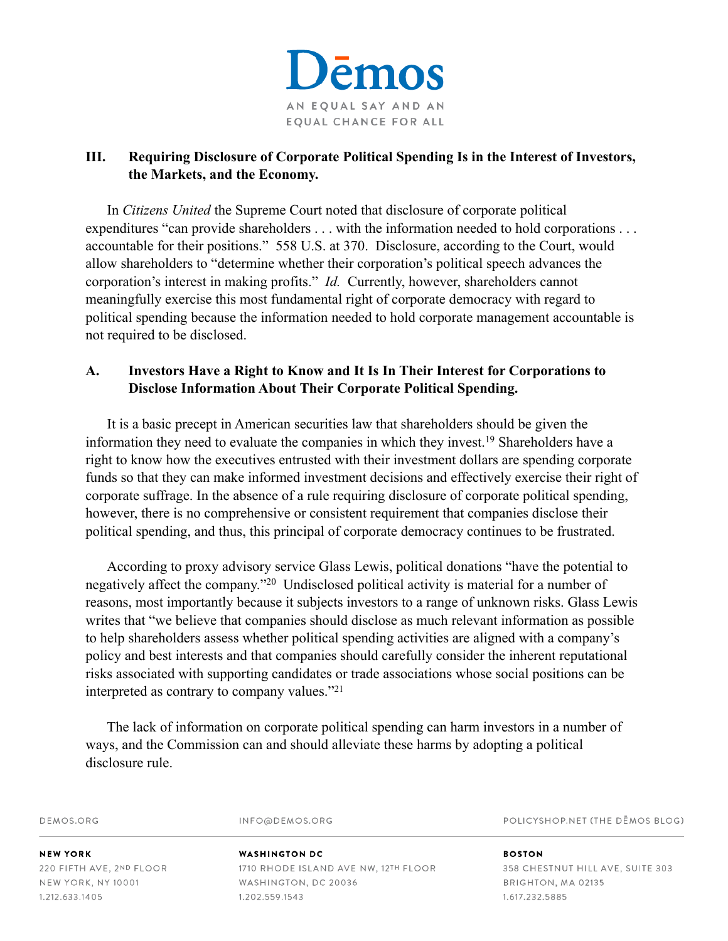

# **III. Requiring Disclosure of Corporate Political Spending Is in the Interest of Investors, the Markets, and the Economy.**

In *Citizens United* the Supreme Court noted that disclosure of corporate political expenditures "can provide shareholders . . . with the information needed to hold corporations . . . accountable for their positions." 558 U.S. at 370. Disclosure, according to the Court, would allow shareholders to "determine whether their corporation's political speech advances the corporation's interest in making profits." *Id.* Currently, however, shareholders cannot meaningfully exercise this most fundamental right of corporate democracy with regard to political spending because the information needed to hold corporate management accountable is not required to be disclosed.

# **A. Investors Have a Right to Know and It Is In Their Interest for Corporations to Disclose Information About Their Corporate Political Spending.**

It is a basic precept in American securities law that shareholders should be given the information they need to evaluate the companies in which they invest.<sup>19</sup> Shareholders have a right to know how the executives entrusted with their investment dollars are spending corporate funds so that they can make informed investment decisions and effectively exercise their right of corporate suffrage. In the absence of a rule requiring disclosure of corporate political spending, however, there is no comprehensive or consistent requirement that companies disclose their political spending, and thus, this principal of corporate democracy continues to be frustrated.

According to proxy advisory service Glass Lewis, political donations "have the potential to negatively affect the company."<sup>20</sup> Undisclosed political activity is material for a number of reasons, most importantly because it subjects investors to a range of unknown risks. Glass Lewis writes that "we believe that companies should disclose as much relevant information as possible to help shareholders assess whether political spending activities are aligned with a company's policy and best interests and that companies should carefully consider the inherent reputational risks associated with supporting candidates or trade associations whose social positions can be interpreted as contrary to company values."<sup>21</sup>

The lack of information on corporate political spending can harm investors in a number of ways, and the Commission can and should alleviate these harms by adopting a political disclosure rule.

DEMOS.ORG

INFO@DEMOS.ORG

POLICYSHOP.NET (THE DEMOS BLOG)

**NEW YORK** 220 FIFTH AVE, 2ND FLOOR **NEW YORK, NY 10001** 1.212.633.1405

#### **WASHINGTON DC** 1710 RHODE ISLAND AVE NW, 12TH FLOOR WASHINGTON, DC 20036 1.202.559.1543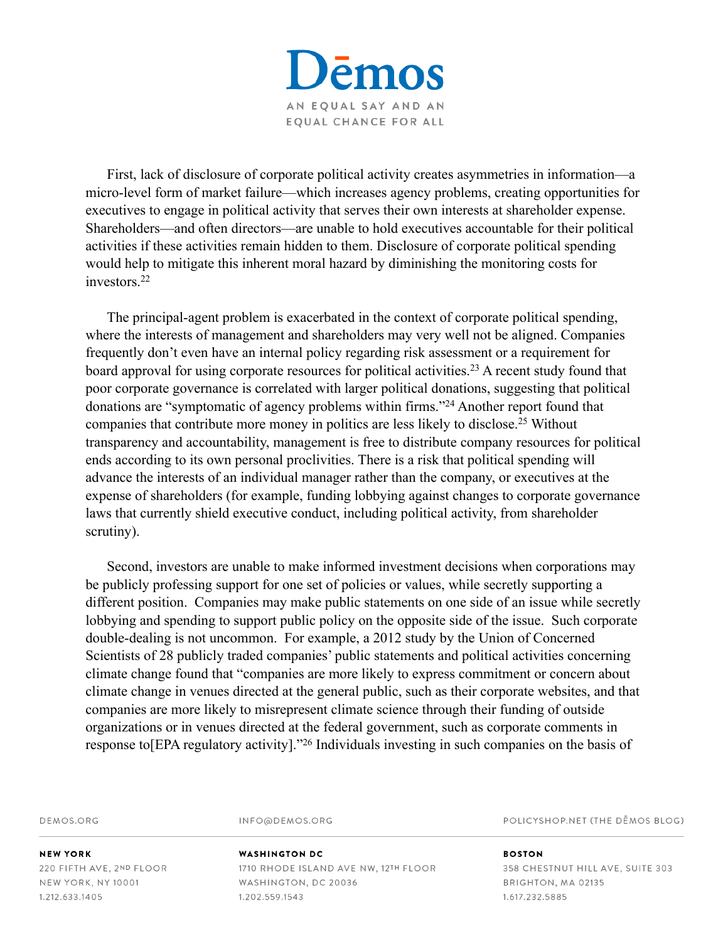emos AN EQUAL SAY AND AN EQUAL CHANCE FOR ALL

First, lack of disclosure of corporate political activity creates asymmetries in information—a micro-level form of market failure—which increases agency problems, creating opportunities for executives to engage in political activity that serves their own interests at shareholder expense. Shareholders—and often directors—are unable to hold executives accountable for their political activities if these activities remain hidden to them. Disclosure of corporate political spending would help to mitigate this inherent moral hazard by diminishing the monitoring costs for investors. 22

The principal-agent problem is exacerbated in the context of corporate political spending, where the interests of management and shareholders may very well not be aligned. Companies frequently don't even have an internal policy regarding risk assessment or a requirement for board approval for using corporate resources for political activities.<sup>23</sup> A recent study found that poor corporate governance is correlated with larger political donations, suggesting that political donations are "symptomatic of agency problems within firms."<sup>24</sup> Another report found that companies that contribute more money in politics are less likely to disclose.<sup>25</sup> Without transparency and accountability, management is free to distribute company resources for political ends according to its own personal proclivities. There is a risk that political spending will advance the interests of an individual manager rather than the company, or executives at the expense of shareholders (for example, funding lobbying against changes to corporate governance laws that currently shield executive conduct, including political activity, from shareholder scrutiny).

Second, investors are unable to make informed investment decisions when corporations may be publicly professing support for one set of policies or values, while secretly supporting a different position. Companies may make public statements on one side of an issue while secretly lobbying and spending to support public policy on the opposite side of the issue. Such corporate double-dealing is not uncommon. For example, a 2012 study by the Union of Concerned Scientists of 28 publicly traded companies' public statements and political activities concerning climate change found that "companies are more likely to express commitment or concern about climate change in venues directed at the general public, such as their corporate websites, and that companies are more likely to misrepresent climate science through their funding of outside organizations or in venues directed at the federal government, such as corporate comments in response to EPA regulatory activity]."<sup>26</sup> Individuals investing in such companies on the basis of

DEMOS.ORG

INFO@DEMOS.ORG

POLICYSHOP.NET (THE DEMOS BLOG)

**NEW YORK** 220 FIFTH AVE, 2ND FLOOR NEW YORK, NY 10001 1.212.633.1405

#### **WASHINGTON DC**

1710 RHODE ISLAND AVE NW, 12TH FLOOR WASHINGTON, DC 20036 1.202.559.1543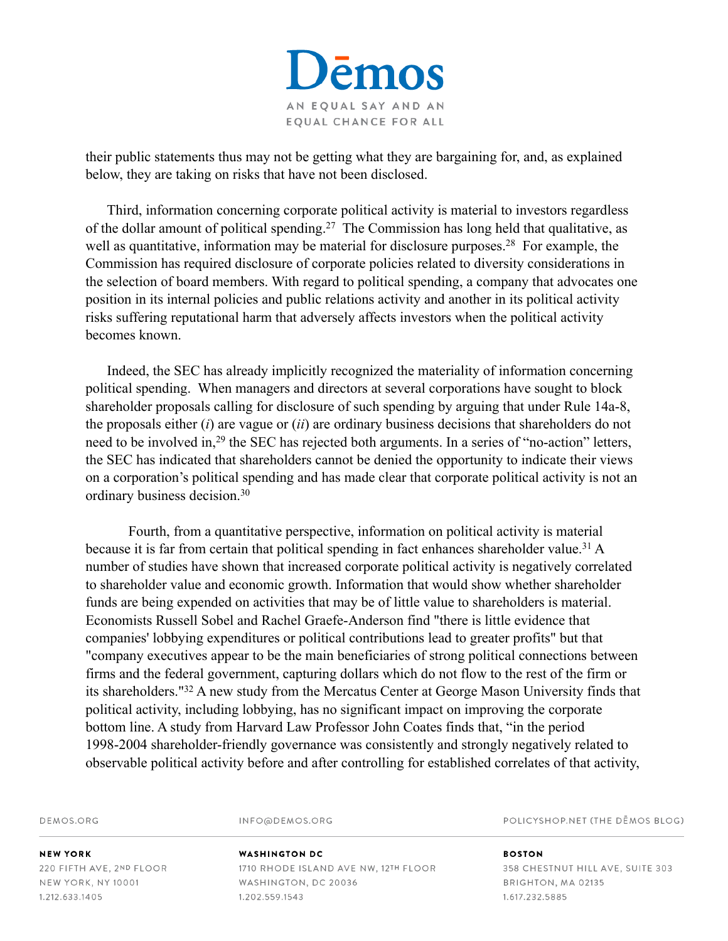

their public statements thus may not be getting what they are bargaining for, and, as explained below, they are taking on risks that have not been disclosed.

Third, information concerning corporate political activity is material to investors regardless of the dollar amount of political spending.<sup>27</sup> The Commission has long held that qualitative, as well as quantitative, information may be material for disclosure purposes.<sup>28</sup> For example, the Commission has required disclosure of corporate policies related to diversity considerations in the selection of board members. With regard to political spending, a company that advocates one position in its internal policies and public relations activity and another in its political activity risks suffering reputational harm that adversely affects investors when the political activity becomes known.

Indeed, the SEC has already implicitly recognized the materiality of information concerning political spending. When managers and directors at several corporations have sought to block shareholder proposals calling for disclosure of such spending by arguing that under Rule 14a-8, the proposals either (*i*) are vague or (*ii*) are ordinary business decisions that shareholders do not need to be involved in,<sup>29</sup> the SEC has rejected both arguments. In a series of "no-action" letters, the SEC has indicated that shareholders cannot be denied the opportunity to indicate their views on a corporation's political spending and has made clear that corporate political activity is not an ordinary business decision.30

 Fourth, from a quantitative perspective, information on political activity is material because it is far from certain that political spending in fact enhances shareholder value.<sup>31</sup> A number of studies have shown that increased corporate political activity is negatively correlated to shareholder value and economic growth. Information that would show whether shareholder funds are being expended on activities that may be of little value to shareholders is material. Economists Russell Sobel and Rachel Graefe-Anderson find "there is little evidence that companies' lobbying expenditures or political contributions lead to greater profits" but that "company executives appear to be the main beneficiaries of strong political connections between firms and the federal government, capturing dollars which do not flow to the rest of the firm or its shareholders."<sup>32</sup> A new study from the Mercatus Center at George Mason University finds that political activity, including lobbying, has no significant impact on improving the corporate bottom line. A study from Harvard Law Professor John Coates finds that, "in the period 1998-2004 shareholder-friendly governance was consistently and strongly negatively related to observable political activity before and after controlling for established correlates of that activity,

DEMOS.ORG

INFO@DEMOS.ORG

POLICYSHOP.NET (THE DEMOS BLOG)

**NEW YORK** 220 FIFTH AVE, 2ND FLOOR NEW YORK, NY 10001 1.212.633.1405

# **WASHINGTON DC**

1710 RHODE ISLAND AVE NW, 12TH FLOOR WASHINGTON, DC 20036 1.202.559.1543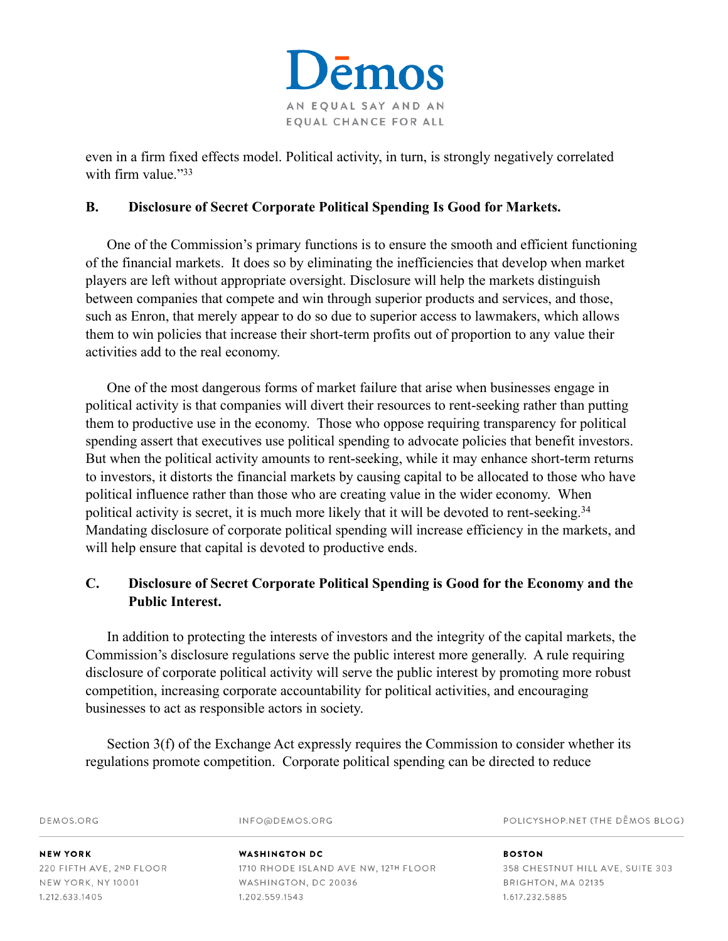

even in a firm fixed effects model. Political activity, in turn, is strongly negatively correlated with firm value."33

### **B. Disclosure of Secret Corporate Political Spending Is Good for Markets.**

One of the Commission's primary functions is to ensure the smooth and efficient functioning of the financial markets. It does so by eliminating the inefficiencies that develop when market players are left without appropriate oversight. Disclosure will help the markets distinguish between companies that compete and win through superior products and services, and those, such as Enron, that merely appear to do so due to superior access to lawmakers, which allows them to win policies that increase their short-term profits out of proportion to any value their activities add to the real economy.

One of the most dangerous forms of market failure that arise when businesses engage in political activity is that companies will divert their resources to rent-seeking rather than putting them to productive use in the economy. Those who oppose requiring transparency for political spending assert that executives use political spending to advocate policies that benefit investors. But when the political activity amounts to rent-seeking, while it may enhance short-term returns to investors, it distorts the financial markets by causing capital to be allocated to those who have political influence rather than those who are creating value in the wider economy. When political activity is secret, it is much more likely that it will be devoted to rent-seeking. 34 Mandating disclosure of corporate political spending will increase efficiency in the markets, and will help ensure that capital is devoted to productive ends.

# **C. Disclosure of Secret Corporate Political Spending is Good for the Economy and the Public Interest.**

In addition to protecting the interests of investors and the integrity of the capital markets, the Commission's disclosure regulations serve the public interest more generally. A rule requiring disclosure of corporate political activity will serve the public interest by promoting more robust competition, increasing corporate accountability for political activities, and encouraging businesses to act as responsible actors in society.

Section 3(f) of the Exchange Act expressly requires the Commission to consider whether its regulations promote competition. Corporate political spending can be directed to reduce

|                          | regulations promote competition. Corporate pontical spending can be an ected to reduce |                                  |  |
|--------------------------|----------------------------------------------------------------------------------------|----------------------------------|--|
| DEMOS.ORG                | INFO@DEMOS.ORG                                                                         | POLICYSHOP.NET (THE DEMOS BLOG)  |  |
| <b>NEW YORK</b>          | <b>WASHINGTON DC</b>                                                                   | <b>BOSTON</b>                    |  |
| 220 FIFTH AVE, 2ND FLOOR | 1710 RHODE ISLAND AVE NW, 12TH FLOOR                                                   | 358 CHESTNUT HILL AVE, SUITE 303 |  |
| NEW YORK, NY 10001       | WASHINGTON, DC 20036                                                                   | BRIGHTON, MA 02135               |  |
| 1.212.633.1405           | 1.202.559.1543                                                                         | 1.617.232.5885                   |  |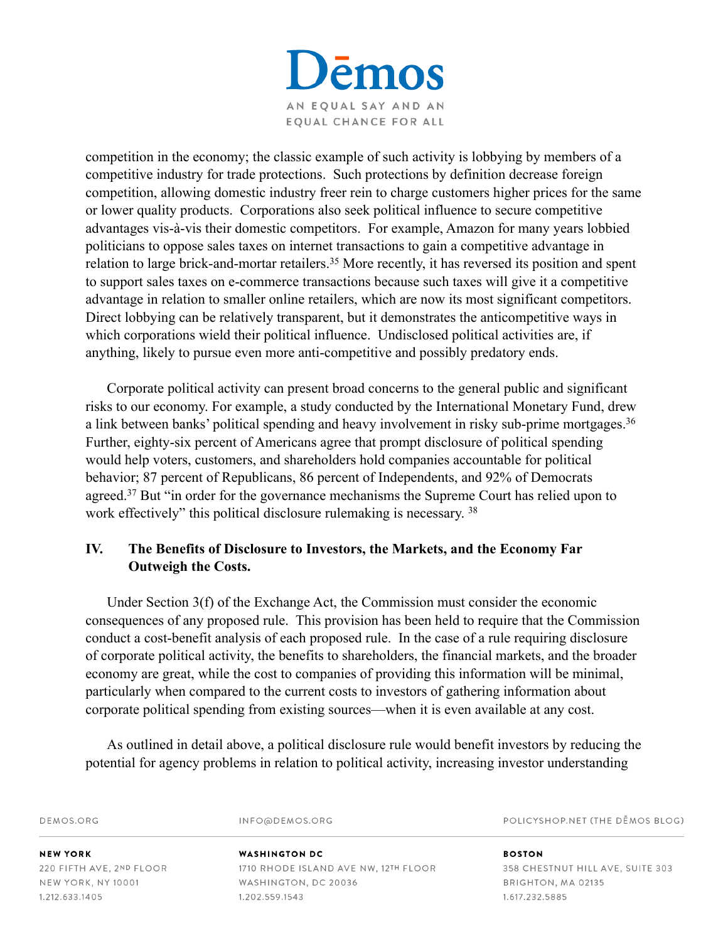

competition in the economy; the classic example of such activity is lobbying by members of a competitive industry for trade protections. Such protections by definition decrease foreign competition, allowing domestic industry freer rein to charge customers higher prices for the same or lower quality products. Corporations also seek political influence to secure competitive advantages vis-à-vis their domestic competitors. For example, Amazon for many years lobbied politicians to oppose sales taxes on internet transactions to gain a competitive advantage in relation to large brick-and-mortar retailers.<sup>35</sup> More recently, it has reversed its position and spent to support sales taxes on e-commerce transactions because such taxes will give it a competitive advantage in relation to smaller online retailers, which are now its most significant competitors. Direct lobbying can be relatively transparent, but it demonstrates the anticompetitive ways in which corporations wield their political influence. Undisclosed political activities are, if anything, likely to pursue even more anti-competitive and possibly predatory ends.

Corporate political activity can present broad concerns to the general public and significant risks to our economy. For example, a study conducted by the International Monetary Fund, drew a link between banks' political spending and heavy involvement in risky sub-prime mortgages.<sup>36</sup> Further, eighty-six percent of Americans agree that prompt disclosure of political spending would help voters, customers, and shareholders hold companies accountable for political behavior; 87 percent of Republicans, 86 percent of Independents, and 92% of Democrats agreed.<sup>37</sup> But "in order for the governance mechanisms the Supreme Court has relied upon to work effectively" this political disclosure rulemaking is necessary. <sup>38</sup>

# **IV. The Benefits of Disclosure to Investors, the Markets, and the Economy Far Outweigh the Costs.**

Under Section 3(f) of the Exchange Act, the Commission must consider the economic consequences of any proposed rule. This provision has been held to require that the Commission conduct a cost-benefit analysis of each proposed rule. In the case of a rule requiring disclosure of corporate political activity, the benefits to shareholders, the financial markets, and the broader economy are great, while the cost to companies of providing this information will be minimal, particularly when compared to the current costs to investors of gathering information about corporate political spending from existing sources—when it is even available at any cost.

As outlined in detail above, a political disclosure rule would benefit investors by reducing the potential for agency problems in relation to political activity, increasing investor understanding

POLICYSHOP.NET (THE DEMOS BLOG) DEMOS.ORG INFO@DEMOS.ORG **NEW YORK WASHINGTON DC BOSTON** 220 FIFTH AVE, 2ND FLOOR 1710 RHODE ISLAND AVE NW, 12TH FLOOR 358 CHESTNUT HILL AVE, SUITE 303 NEW YORK, NY 10001 WASHINGTON, DC 20036 BRIGHTON, MA 02135 1.212.633.1405 1.202.559.1543 1.617.232.5885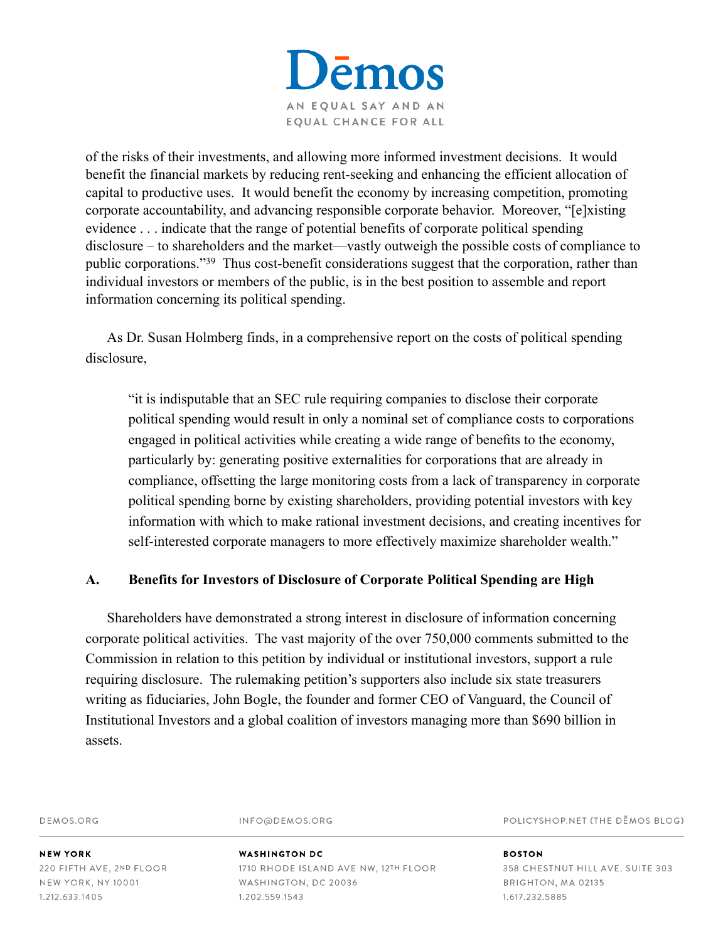

of the risks of their investments, and allowing more informed investment decisions. It would benefit the financial markets by reducing rent-seeking and enhancing the efficient allocation of capital to productive uses. It would benefit the economy by increasing competition, promoting corporate accountability, and advancing responsible corporate behavior. Moreover, "[e]xisting evidence . . . indicate that the range of potential benefits of corporate political spending disclosure – to shareholders and the market—vastly outweigh the possible costs of compliance to public corporations."<sup>39</sup> Thus cost-benefit considerations suggest that the corporation, rather than individual investors or members of the public, is in the best position to assemble and report information concerning its political spending.

As Dr. Susan Holmberg finds, in a comprehensive report on the costs of political spending disclosure,

"it is indisputable that an SEC rule requiring companies to disclose their corporate political spending would result in only a nominal set of compliance costs to corporations engaged in political activities while creating a wide range of benefits to the economy, particularly by: generating positive externalities for corporations that are already in compliance, offsetting the large monitoring costs from a lack of transparency in corporate political spending borne by existing shareholders, providing potential investors with key information with which to make rational investment decisions, and creating incentives for self-interested corporate managers to more effectively maximize shareholder wealth."

#### **A. Benefits for Investors of Disclosure of Corporate Political Spending are High**

Shareholders have demonstrated a strong interest in disclosure of information concerning corporate political activities. The vast majority of the over 750,000 comments submitted to the Commission in relation to this petition by individual or institutional investors, support a rule requiring disclosure. The rulemaking petition's supporters also include six state treasurers writing as fiduciaries, John Bogle, the founder and former CEO of Vanguard, the Council of Institutional Investors and a global coalition of investors managing more than \$690 billion in assets.

DEMOS ORG

INFO@DEMOS.ORG

POLICYSHOP.NET (THE DEMOS BLOG)

**NEW YORK** 220 FIFTH AVE, 2ND FLOOR **NEW YORK, NY 10001** 1.212.633.1405

# **WASHINGTON DC**

1710 RHODE ISLAND AVE NW, 12TH FLOOR WASHINGTON, DC 20036 1.202.559.1543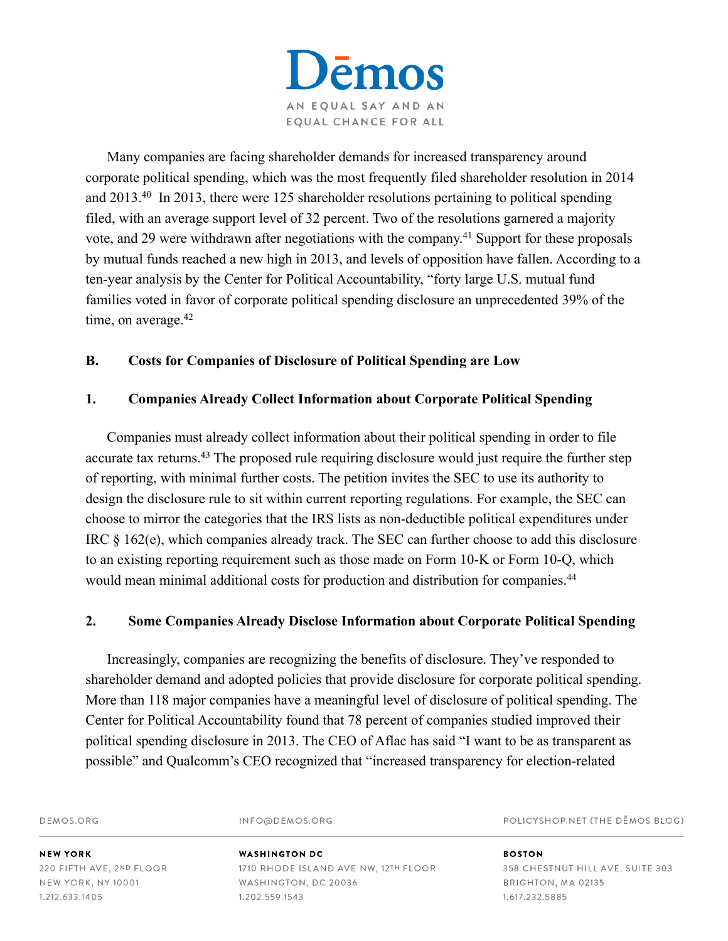**ēmos** AN EQUAL SAY AND AN EQUAL CHANCE FOR ALL

Many companies are facing shareholder demands for increased transparency around corporate political spending, which was the most frequently filed shareholder resolution in 2014 and  $2013<sup>40</sup>$  In 2013, there were 125 shareholder resolutions pertaining to political spending filed, with an average support level of 32 percent. Two of the resolutions garnered a majority vote, and 29 were withdrawn after negotiations with the company.<sup> $41$ </sup> Support for these proposals by mutual funds reached a new high in 2013, and levels of opposition have fallen. According to a ten-year analysis by the Center for Political Accountability, "forty large U.S. mutual fund families voted in favor of corporate political spending disclosure an unprecedented 39% of the time, on average.<sup>42</sup>

# **B. Costs for Companies of Disclosure of Political Spending are Low**

### **1. Companies Already Collect Information about Corporate Political Spending**

Companies must already collect information about their political spending in order to file accurate tax returns.<sup>43</sup> The proposed rule requiring disclosure would just require the further step of reporting, with minimal further costs. The petition invites the SEC to use its authority to design the disclosure rule to sit within current reporting regulations. For example, the SEC can choose to mirror the categories that the IRS lists as non-deductible political expenditures under IRC § 162(e), which companies already track. The SEC can further choose to add this disclosure to an existing reporting requirement such as those made on Form 10-K or Form 10-Q, which would mean minimal additional costs for production and distribution for companies.<sup>44</sup>

#### **2. Some Companies Already Disclose Information about Corporate Political Spending**

Increasingly, companies are recognizing the benefits of disclosure. They've responded to shareholder demand and adopted policies that provide disclosure for corporate political spending. More than 118 major companies have a meaningful level of disclosure of political spending. The Center for Political Accountability found that 78 percent of companies studied improved their political spending disclosure in 2013. The CEO of Aflac has said "I want to be as transparent as possible" and Qualcomm's CEO recognized that "increased transparency for election-related

DEMOS.ORG

INFO@DEMOS.ORG

POLICYSHOP.NET (THE DEMOS BLOG)

**NEW YORK** 220 FIFTH AVE, 2ND FLOOR NEW YORK, NY 10001 1.212.633.1405

**WASHINGTON DC** 1710 RHODE ISLAND AVE NW, 12TH FLOOR WASHINGTON, DC 20036 1.202.559.1543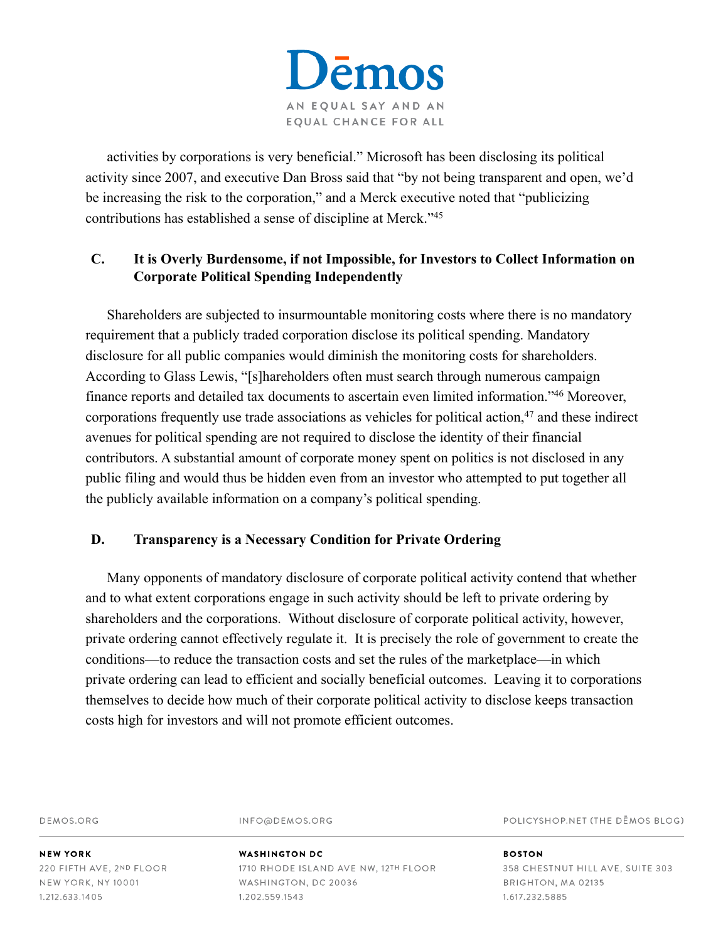

activities by corporations is very beneficial." Microsoft has been disclosing its political activity since 2007, and executive Dan Bross said that "by not being transparent and open, we'd be increasing the risk to the corporation," and a Merck executive noted that "publicizing contributions has established a sense of discipline at Merck."<sup>45</sup>

# **C. It is Overly Burdensome, if not Impossible, for Investors to Collect Information on Corporate Political Spending Independently**

Shareholders are subjected to insurmountable monitoring costs where there is no mandatory requirement that a publicly traded corporation disclose its political spending. Mandatory disclosure for all public companies would diminish the monitoring costs for shareholders. According to Glass Lewis, "[s]hareholders often must search through numerous campaign finance reports and detailed tax documents to ascertain even limited information."46 Moreover, corporations frequently use trade associations as vehicles for political action, $47$  and these indirect avenues for political spending are not required to disclose the identity of their financial contributors. A substantial amount of corporate money spent on politics is not disclosed in any public filing and would thus be hidden even from an investor who attempted to put together all the publicly available information on a company's political spending.

#### **D. Transparency is a Necessary Condition for Private Ordering**

Many opponents of mandatory disclosure of corporate political activity contend that whether and to what extent corporations engage in such activity should be left to private ordering by shareholders and the corporations. Without disclosure of corporate political activity, however, private ordering cannot effectively regulate it. It is precisely the role of government to create the conditions—to reduce the transaction costs and set the rules of the marketplace—in which private ordering can lead to efficient and socially beneficial outcomes. Leaving it to corporations themselves to decide how much of their corporate political activity to disclose keeps transaction costs high for investors and will not promote efficient outcomes.

DEMOS.ORG

INFO@DEMOS.ORG

POLICYSHOP.NET (THE DEMOS BLOG)

**NEW YORK** 220 FIFTH AVE, 2ND FLOOR **NEW YORK, NY 10001** 1.212.633.1405

#### **WASHINGTON DC** 1710 RHODE ISLAND AVE NW, 12TH FLOOR WASHINGTON, DC 20036 1.202.559.1543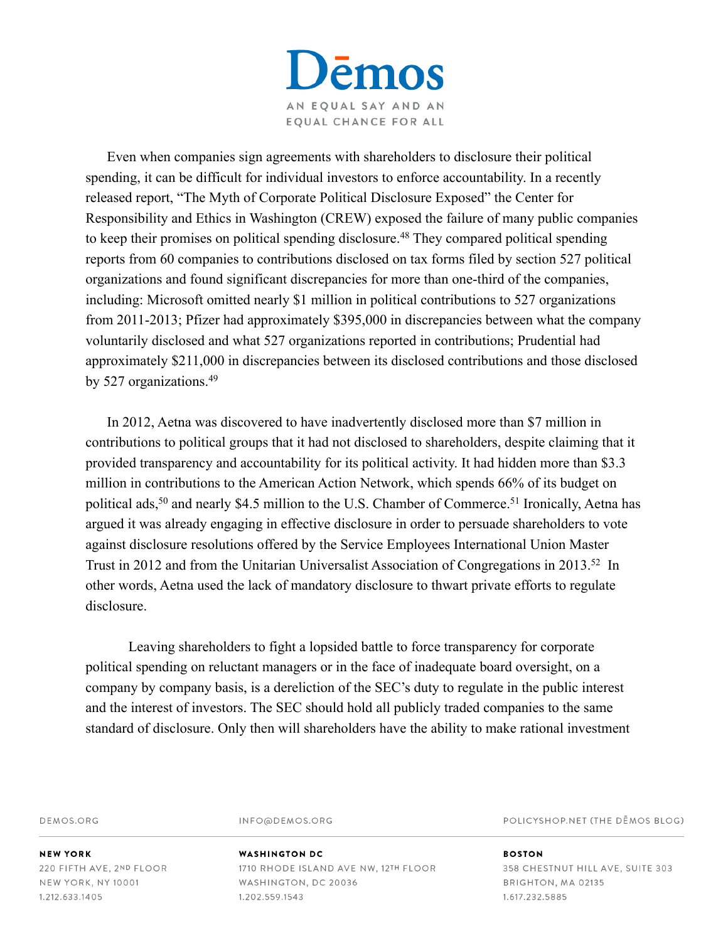

Even when companies sign agreements with shareholders to disclosure their political spending, it can be difficult for individual investors to enforce accountability. In a recently released report, "The Myth of Corporate Political Disclosure Exposed" the Center for Responsibility and Ethics in Washington (CREW) exposed the failure of many public companies to keep their promises on political spending disclosure.<sup>48</sup> They compared political spending reports from 60 companies to contributions disclosed on tax forms filed by section 527 political organizations and found significant discrepancies for more than one-third of the companies, including: Microsoft omitted nearly \$1 million in political contributions to 527 organizations from 2011-2013; Pfizer had approximately \$395,000 in discrepancies between what the company voluntarily disclosed and what 527 organizations reported in contributions; Prudential had approximately \$211,000 in discrepancies between its disclosed contributions and those disclosed by 527 organizations.49

In 2012, Aetna was discovered to have inadvertently disclosed more than \$7 million in contributions to political groups that it had not disclosed to shareholders, despite claiming that it provided transparency and accountability for its political activity. It had hidden more than \$3.3 million in contributions to the American Action Network, which spends 66% of its budget on political ads,<sup>50</sup> and nearly \$4.5 million to the U.S. Chamber of Commerce.<sup>51</sup> Ironically, Aetna has argued it was already engaging in effective disclosure in order to persuade shareholders to vote against disclosure resolutions offered by the Service Employees International Union Master Trust in 2012 and from the Unitarian Universalist Association of Congregations in 2013.<sup>52</sup> In other words, Aetna used the lack of mandatory disclosure to thwart private efforts to regulate disclosure.

 Leaving shareholders to fight a lopsided battle to force transparency for corporate political spending on reluctant managers or in the face of inadequate board oversight, on a company by company basis, is a dereliction of the SEC's duty to regulate in the public interest and the interest of investors. The SEC should hold all publicly traded companies to the same standard of disclosure. Only then will shareholders have the ability to make rational investment

DEMOS.ORG

INFO@DEMOS.ORG

POLICYSHOP.NET (THE DEMOS BLOG)

**NEW YORK** 220 FIFTH AVE, 2ND FLOOR **NEW YORK, NY 10001** 1.212.633.1405

#### **WASHINGTON DC** 1710 RHODE ISLAND AVE NW, 12TH FLOOR WASHINGTON, DC 20036 1.202.559.1543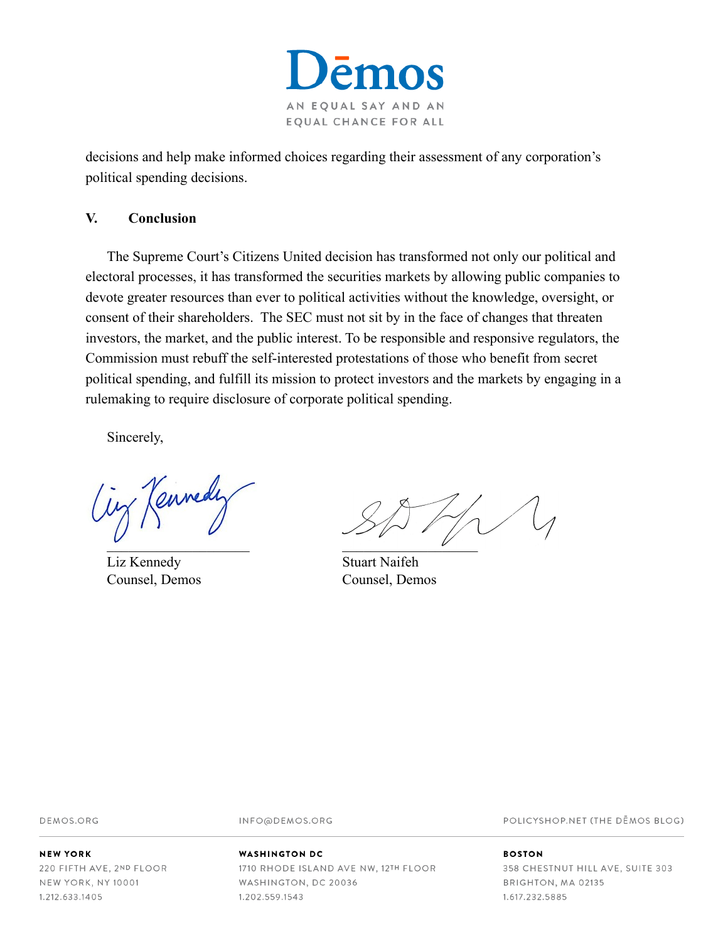

decisions and help make informed choices regarding their assessment of any corporation's political spending decisions.

#### **V. Conclusion**

The Supreme Court's Citizens United decision has transformed not only our political and electoral processes, it has transformed the securities markets by allowing public companies to devote greater resources than ever to political activities without the knowledge, oversight, or consent of their shareholders. The SEC must not sit by in the face of changes that threaten investors, the market, and the public interest. To be responsible and responsive regulators, the Commission must rebuff the self-interested protestations of those who benefit from secret political spending, and fulfill its mission to protect investors and the markets by engaging in a rulemaking to require disclosure of corporate political spending.

Sincerely,

Ciz Kennedi

Liz Kennedy Stuart Naifeh

 $\cup$ 

Counsel, Demos Counsel, Demos

DEMOS.ORG

INFO@DEMOS.ORG

#### **NEW YORK**

220 FIFTH AVE, 2ND FLOOR NEW YORK, NY 10001 1.212.633.1405

#### **WASHINGTON DC**

1710 RHODE ISLAND AVE NW, 12TH FLOOR WASHINGTON, DC 20036 1.202.559.1543

POLICYSHOP.NET (THE DEMOS BLOG)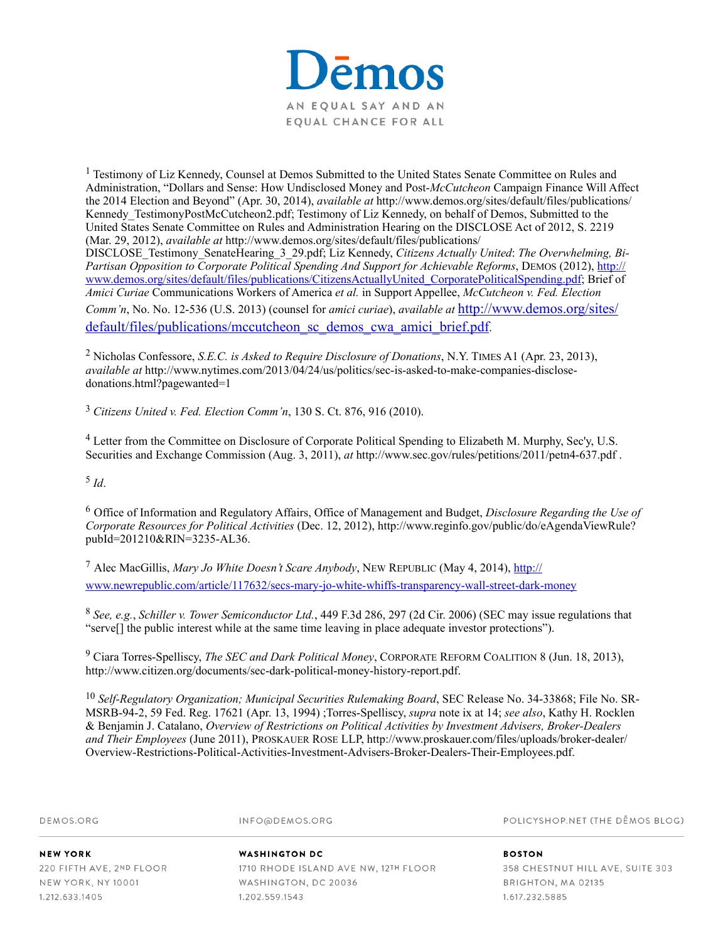

<sup>1</sup> Testimony of Liz Kennedy, Counsel at Demos Submitted to the United States Senate Committee on Rules and Administration, "Dollars and Sense: How Undisclosed Money and Post-*McCutcheon* Campaign Finance Will Affect the 2014 Election and Beyond" (Apr. 30, 2014), *available at* http://www.demos.org/sites/default/files/publications/ Kennedy TestimonyPostMcCutcheon2.pdf; Testimony of Liz Kennedy, on behalf of Demos, Submitted to the United States Senate Committee on Rules and Administration Hearing on the DISCLOSE Act of 2012, S. 2219 (Mar. 29, 2012), *available at* http://www.demos.org/sites/default/files/publications/ DISCLOSE\_Testimony\_SenateHearing\_3\_29.pdf; Liz Kennedy, *Citizens Actually United*: *The Overwhelming, Bi-Partisan Opposition to Corporate Political Spending And Support for Achievable Reforms*, DEMOS (2012), http:// www.demos.org/sites/default/files/publications/CitizensActuallyUnited\_CorporatePoliticalSpending.pdf; Brief of *Amici Curiae* Communications Workers of America *et al.* in Support Appellee, *McCutcheon v. Fed. Election Comm'n*, No. No. 12-536 (U.S. 2013) (counsel for *amici curiae*), *available at* http://www.demos.org/sites/ [default/files/publications/mccutcheon\\_sc\\_demos\\_cwa\\_amici\\_brief.pdf.](http://www.demos.org/sites/default/files/publications/mccutcheon_sc_demos_cwa_amici_brief.pdf)

 Nicholas Confessore, *S.E.C. is Asked to Require Disclosure of Donations*, N.Y. TIMES A1 (Apr. 23, 2013), 2 *available at* http://www.nytimes.com/2013/04/24/us/politics/sec-is-asked-to-make-companies-disclosedonations.html?pagewanted=1

*Citizens United v. Fed. Election Comm'n*, 130 S. Ct. 876, 916 (2010). <sup>3</sup>

 Letter from the Committee on Disclosure of Corporate Political Spending to Elizabeth M. Murphy, Sec'y, U.S. 4 Securities and Exchange Commission (Aug. 3, 2011), *at* http://www.sec.gov/rules/petitions/2011/petn4-637.pdf .

 $^5$  *Id*.

Office of Information and Regulatory Affairs, Office of Management and Budget, *Disclosure Regarding the Use of* <sup>6</sup> *Corporate Resources for Political Activities* (Dec. 12, 2012), http://www.reginfo.gov/public/do/eAgendaViewRule? pubId=201210&RIN=3235-AL36.

<sup>7</sup> Alec MacGillis, *Mary Jo White Doesn't Scare Anybody*, NEW REPUBLIC (May 4, 2014), *http://* [www.newrepublic.com/article/117632/secs-mary-jo-white-whiffs-transparency-wall-street-dark-money](http://www.newrepublic.com/article/117632/secs-mary-jo-white-whiffs-transparency-wall-street-dark-money)

*See, e.g.*, *Schiller v. Tower Semiconductor Ltd.*, 449 F.3d 286, 297 (2d Cir. 2006) (SEC may issue regulations that 8 "serve[] the public interest while at the same time leaving in place adequate investor protections").

 Ciara Torres-Spelliscy, *The SEC and Dark Political Money*, CORPORATE REFORM COALITION 8 (Jun. 18, 2013), 9 http://www.citizen.org/documents/sec-dark-political-money-history-report.pdf.

<sup>10</sup> Self-Regulatory Organization; Municipal Securities Rulemaking Board, SEC Release No. 34-33868; File No. SR-MSRB-94-2, 59 Fed. Reg. 17621 (Apr. 13, 1994) ;Torres-Spelliscy, *supra* note ix at 14; *see also*, Kathy H. Rocklen & Benjamin J. Catalano, *Overview of Restrictions on Political Activities by Investment Advisers, Broker-Dealers and Their Employees* (June 2011), PROSKAUER ROSE LLP, http://www.proskauer.com/files/uploads/broker-dealer/ Overview-Restrictions-Political-Activities-Investment-Advisers-Broker-Dealers-Their-Employees.pdf.

| DEMOS.ORG                | INFO@DEMOS.ORG                       | POLICYSHOP.NET (THE DEMOS BLOG)  |
|--------------------------|--------------------------------------|----------------------------------|
| <b>NEW YORK</b>          | WASHINGTON DC                        | <b>BOSTON</b>                    |
| 220 FIFTH AVE, 2ND FLOOR | 1710 RHODE ISLAND AVE NW, 12TH FLOOR | 358 CHESTNUT HILL AVE, SUITE 303 |
| NEW YORK, NY 10001       | WASHINGTON, DC 20036                 | BRIGHTON, MA 02135               |
| 1.212.633.1405           | 1.202.559.1543                       | 1.617.232.5885                   |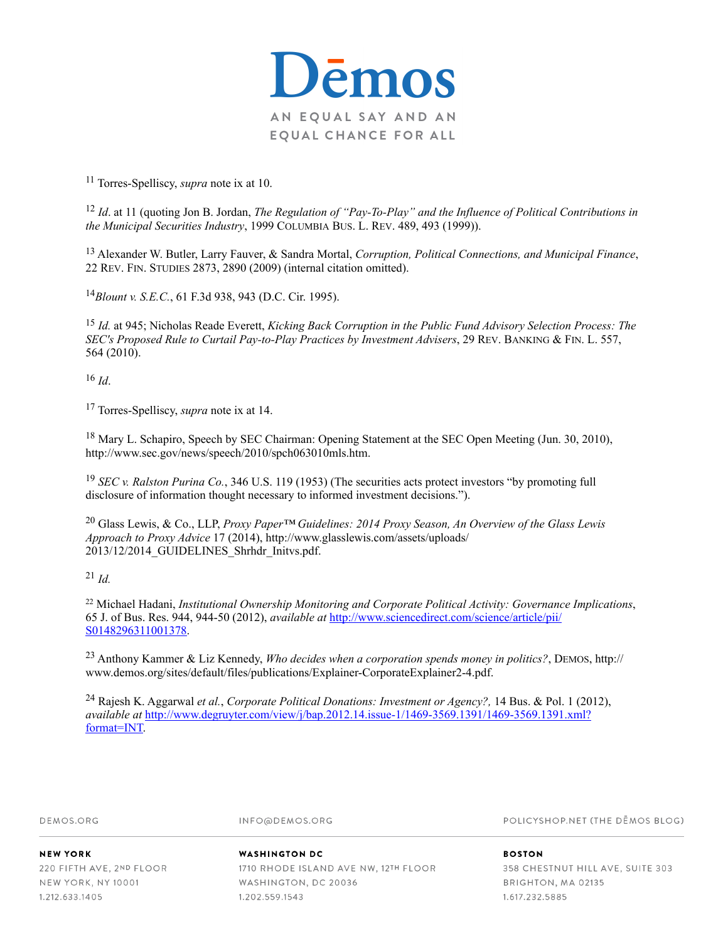

<sup>11</sup> Torres-Spelliscy, *supra* note ix at 10.

*Id*. at 11 (quoting Jon B. Jordan, *The Regulation of "Pay-To-Play" and the Influence of Political Contributions in* <sup>12</sup> *the Municipal Securities Industry*, 1999 COLUMBIA BUS. L. REV. 489, 493 (1999)).

 Alexander W. Butler, Larry Fauver, & Sandra Mortal, *Corruption, Political Connections, and Municipal Finance*, 13 22 REV. FIN. STUDIES 2873, 2890 (2009) (internal citation omitted).

*Blount v. S.E.C.*, 61 F.3d 938, 943 (D.C. Cir. 1995). <sup>14</sup>

*Id.* at 945; Nicholas Reade Everett, *Kicking Back Corruption in the Public Fund Advisory Selection Process: The* <sup>15</sup> *SEC's Proposed Rule to Curtail Pay-to-Play Practices by Investment Advisers*, 29 REV. BANKING & FIN. L. 557, 564 (2010).

 $16$   $Id$ 

<sup>17</sup> Torres-Spelliscy, *supra* note ix at 14.

<sup>18</sup> Mary L. Schapiro, Speech by SEC Chairman: Opening Statement at the SEC Open Meeting (Jun. 30, 2010), http://www.sec.gov/news/speech/2010/spch063010mls.htm.

<sup>19</sup> *SEC v. Ralston Purina Co.*, 346 U.S. 119 (1953) (The securities acts protect investors "by promoting full disclosure of information thought necessary to informed investment decisions.").

 Glass Lewis, & Co., LLP, *Proxy Paper™ Guidelines: 2014 Proxy Season, An Overview of the Glass Lewis* <sup>20</sup> *Approach to Proxy Advice* 17 (2014), http://www.glasslewis.com/assets/uploads/ 2013/12/2014\_GUIDELINES\_Shrhdr\_Initvs.pdf.

 $^{21}$  *Id.* 

<sup>22</sup> Michael Hadani, *Institutional Ownership Monitoring and Corporate Political Activity: Governance Implications*, 65 J. of Bus. Res. 944, 944-50 (2012), *available at* [http://www.sciencedirect.com/science/article/pii/](http://www.sciencedirect.com/science/article/pii/S0148296311001378) S0148296311001378.

 Anthony Kammer & Liz Kennedy, *Who decides when a corporation spends money in politics?*, DEMOS, http:// <sup>23</sup> www.demos.org/sites/default/files/publications/Explainer-CorporateExplainer2-4.pdf.

 Rajesh K. Aggarwal *et al.*, *Corporate Political Donations: Investment or Agency?,* 14 Bus. & Pol. 1 (2012), 24 *available at* [http://www.degruyter.com/view/j/bap.2012.14.issue-1/1469-3569.1391/1469-3569.1391.xml?](http://www.degruyter.com/view/j/bap.2012.14.issue-1/1469-3569.1391/1469-3569.1391.xml?format=INT) format=INT.

DEMOS ORG

INFO@DEMOS.ORG

POLICYSHOP.NET (THE DEMOS BLOG)

**NEW YORK** 220 FIFTH AVE, 2ND FLOOR NEW YORK, NY 10001 1.212.633.1405

#### **WASHINGTON DC** 1710 RHODE ISLAND AVE NW, 12TH FLOOR WASHINGTON, DC 20036 1.202.559.1543

358 CHESTNUT HILL AVE, SUITE 303 BRIGHTON, MA 02135 1.617.232.5885

**ROSTON**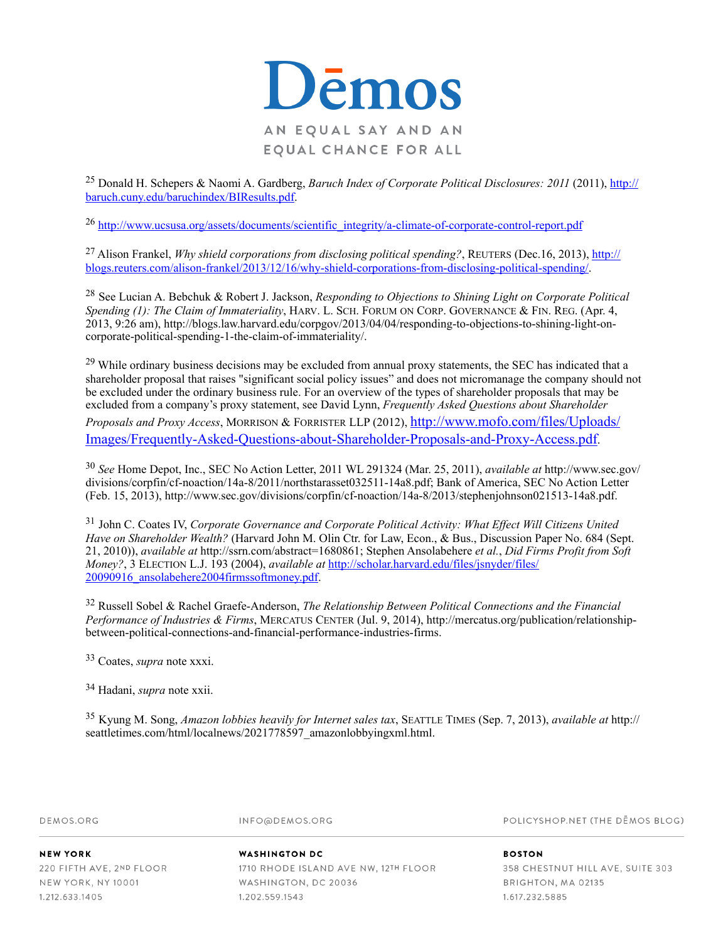

<sup>25</sup> Donald H. Schepers & Naomi A. Gardberg, *Baruch Index of Corporate Political Disclosures: 2011* (2011), http:// baruch.cuny.edu/baruchindex/BIResults.pdf.

[http://www.ucsusa.org/assets/documents/scientific\\_integrity/a-climate-of-corporate-control-report.pdf](http://www.ucsusa.org/assets/documents/scientific_integrity/a-climate-of-corporate-control-report.pdf) <sup>26</sup>

<sup>27</sup> Alison Frankel, *Why shield corporations from disclosing political spending?*, REUTERS (Dec.16, 2013), http:// [blogs.reuters.com/alison-frankel/2013/12/16/why-shield-corporations-from-disclosing-political-spending/.](http://blogs.reuters.com/alison-frankel/2013/12/16/why-shield-corporations-from-disclosing-political-spending/)

See Lucian A. Bebchuk & Robert J. Jackson, *Responding to Objections to Shining Light on Corporate Political* <sup>28</sup> *Spending (1): The Claim of Immateriality*, HARV. L. SCH. FORUM ON CORP. GOVERNANCE & FIN. REG. (Apr. 4, 2013, 9:26 am), http://blogs.law.harvard.edu/corpgov/2013/04/04/responding-to-objections-to-shining-light-oncorporate-political-spending-1-the-claim-of-immateriality/.

<sup>29</sup> While ordinary business decisions may be excluded from annual proxy statements, the SEC has indicated that a shareholder proposal that raises "significant social policy issues" and does not micromanage the company should not be excluded under the ordinary business rule. For an overview of the types of shareholder proposals that may be excluded from a company's proxy statement, see David Lynn, *Frequently Asked Questions about Shareholder Proposals and Proxy Access*, MORRISON & FORRISTER LLP (2012), http://www.mofo.com/files/Uploads/ [Images/Frequently-Asked-Questions-about-Shareholder-Proposals-and-Proxy-Access.pdf.](http://www.mofo.com/files/Uploads/Images/Frequently-Asked-Questions-about-Shareholder-Proposals-and-Proxy-Access.pdf)

*See* Home Depot, Inc., SEC No Action Letter, 2011 WL 291324 (Mar. 25, 2011), *available at* http://www.sec.gov/ <sup>30</sup> divisions/corpfin/cf-noaction/14a-8/2011/northstarasset032511-14a8.pdf; Bank of America, SEC No Action Letter (Feb. 15, 2013), http://www.sec.gov/divisions/corpfin/cf-noaction/14a-8/2013/stephenjohnson021513-14a8.pdf.

<sup>31</sup> John C. Coates IV, *Corporate Governance and Corporate Political Activity: What Effect Will Citizens United Have on Shareholder Wealth?* (Harvard John M. Olin Ctr. for Law, Econ., & Bus., Discussion Paper No. 684 (Sept. 21, 2010)), *available at* http://ssrn.com/abstract=1680861; Stephen Ansolabehere *et al.*, *Did Firms Profit from Soft Money?*, 3 ELECTION L.J. 193 (2004), *available at* http://scholar.harvard.edu/files/jsnyder/files/ [20090916\\_ansolabehere2004firmssoftmoney.pdf.](http://scholar.harvard.edu/files/jsnyder/files/20090916_ansolabehere2004firmssoftmoney.pdf)

 Russell Sobel & Rachel Graefe-Anderson, *The Relationship Between Political Connections and the Financial* <sup>32</sup> *Performance of Industries & Firms*, MERCATUS CENTER (Jul. 9, 2014), http://mercatus.org/publication/relationshipbetween-political-connections-and-financial-performance-industries-firms.

Coates, *supra* note xxxi. <sup>33</sup>

Hadani, *supra* note xxii. <sup>34</sup>

Kyung M. Song, *Amazon lobbies heavily for Internet sales tax*, SEATTLE TIMES (Sep. 7, 2013), *available at* http:// <sup>35</sup> seattletimes.com/html/localnews/2021778597\_amazonlobbyingxml.html.

DEMOS ORG

INFO@DEMOS.ORG

POLICYSHOP.NET (THE DEMOS BLOG)

**NEW YORK** 220 FIFTH AVE, 2ND FLOOR NEW YORK, NY 10001 1.212.633.1405

**WASHINGTON DC** 1710 RHODE ISLAND AVE NW, 12TH FLOOR WASHINGTON, DC 20036 1.202.559.1543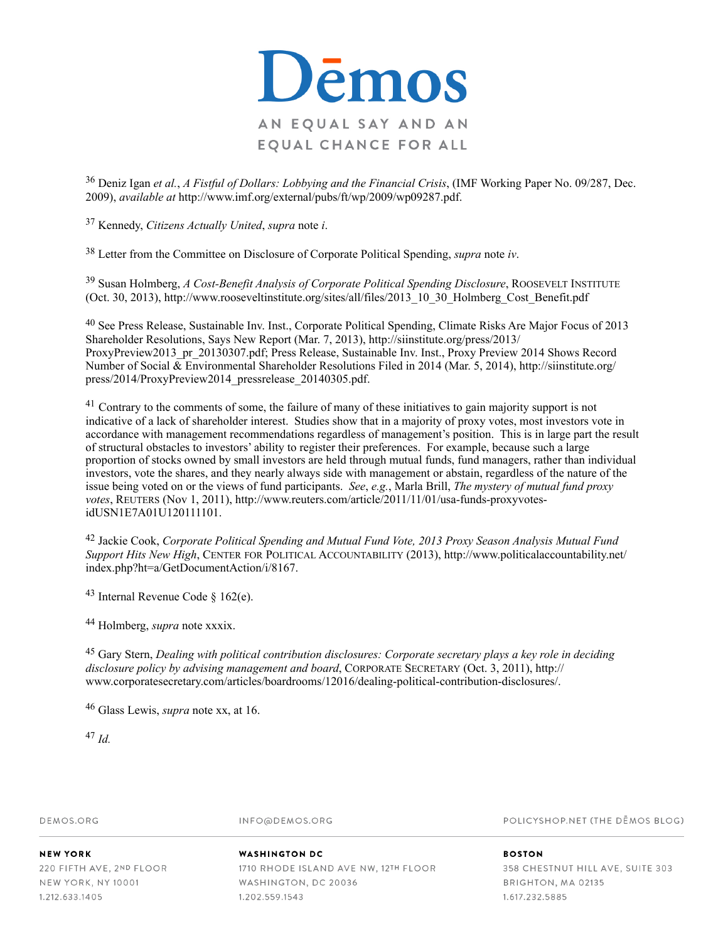

 Deniz Igan *et al.*, *A Fistful of Dollars: Lobbying and the Financial Crisis*, (IMF Working Paper No. 09/287, Dec. 36 2009), *available at* http://www.imf.org/external/pubs/ft/wp/2009/wp09287.pdf.

Kennedy, *Citizens Actually United*, *supra* note *i*. <sup>37</sup>

Letter from the Committee on Disclosure of Corporate Political Spending, *supra* note *iv*. <sup>38</sup>

<sup>39</sup> Susan Holmberg, *A Cost-Benefit Analysis of Corporate Political Spending Disclosure*, ROOSEVELT INSTITUTE (Oct. 30, 2013), http://www.rooseveltinstitute.org/sites/all/files/2013\_10\_30\_Holmberg\_Cost\_Benefit.pdf

<sup>40</sup> See Press Release, Sustainable Inv. Inst., Corporate Political Spending, Climate Risks Are Major Focus of 2013 Shareholder Resolutions, Says New Report (Mar. 7, 2013), http://siinstitute.org/press/2013/ ProxyPreview2013\_pr\_20130307.pdf; Press Release, Sustainable Inv. Inst., Proxy Preview 2014 Shows Record Number of Social & Environmental Shareholder Resolutions Filed in 2014 (Mar. 5, 2014), http://siinstitute.org/ press/2014/ProxyPreview2014\_pressrelease\_20140305.pdf.

 $41$  Contrary to the comments of some, the failure of many of these initiatives to gain majority support is not indicative of a lack of shareholder interest. Studies show that in a majority of proxy votes, most investors vote in accordance with management recommendations regardless of management's position. This is in large part the result of structural obstacles to investors' ability to register their preferences. For example, because such a large proportion of stocks owned by small investors are held through mutual funds, fund managers, rather than individual investors, vote the shares, and they nearly always side with management or abstain, regardless of the nature of the issue being voted on or the views of fund participants. *See*, *e.g.*, Marla Brill, *The mystery of mutual fund proxy votes*, REUTERS (Nov 1, 2011), http://www.reuters.com/article/2011/11/01/usa-funds-proxyvotesidUSN1E7A01U120111101.

<sup>42</sup> Jackie Cook, *Corporate Political Spending and Mutual Fund Vote, 2013 Proxy Season Analysis Mutual Fund Support Hits New High*, CENTER FOR POLITICAL ACCOUNTABILITY (2013), http://www.politicalaccountability.net/ index.php?ht=a/GetDocumentAction/i/8167.

 $43$  Internal Revenue Code  $\delta$  162(e).

Holmberg, *supra* note xxxix. <sup>44</sup>

 Gary Stern, *Dealing with political contribution disclosures: Corporate secretary plays a key role in deciding* <sup>45</sup> *disclosure policy by advising management and board*, CORPORATE SECRETARY (Oct. 3, 2011), http:// www.corporatesecretary.com/articles/boardrooms/12016/dealing-political-contribution-disclosures/.

<sup>46</sup> Glass Lewis, *supra* note xx, at 16.

 $^{47}$  *Id.* 

DEMOS ORG

INFO@DEMOS.ORG

POLICYSHOP.NET (THE DEMOS BLOG)

NEW YORK 220 FIFTH AVE, 2ND FLOOR NEW YORK, NY 10001 1.212.633.1405

#### **WASHINGTON DC**

1710 RHODE ISLAND AVE NW, 12TH FLOOR WASHINGTON, DC 20036 1.202.559.1543